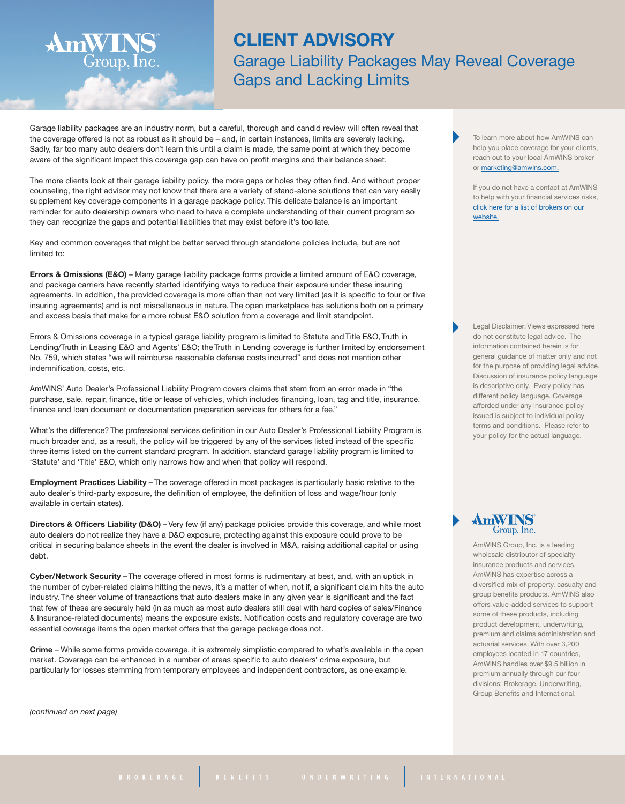## **CLIENT ADVISORY** Garage Liability Packages May Reveal Coverage Gaps and Lacking Limits

Garage liability packages are an industry norm, but a careful, thorough and candid review will often reveal that the coverage offered is not as robust as it should be – and, in certain instances, limits are severely lacking. Sadly, far too many auto dealers don't learn this until a claim is made, the same point at which they become aware of the significant impact this coverage gap can have on profit margins and their balance sheet.

The more clients look at their garage liability policy, the more gaps or holes they often find. And without proper counseling, the right advisor may not know that there are a variety of stand-alone solutions that can very easily supplement key coverage components in a garage package policy. This delicate balance is an important reminder for auto dealership owners who need to have a complete understanding of their current program so they can recognize the gaps and potential liabilities that may exist before it's too late.

Key and common coverages that might be better served through standalone policies include, but are not limited to:

**Errors & Omissions (E&O)** – Many garage liability package forms provide a limited amount of E&O coverage, and package carriers have recently started identifying ways to reduce their exposure under these insuring agreements. In addition, the provided coverage is more often than not very limited (as it is specific to four or five insuring agreements) and is not miscellaneous in nature. The open marketplace has solutions both on a primary and excess basis that make for a more robust E&O solution from a coverage and limit standpoint.

Errors & Omissions coverage in a typical garage liability program is limited to Statute and Title E&O, Truth in Lending/Truth in Leasing E&O and Agents' E&O; the Truth in Lending coverage is further limited by endorsement No. 759, which states "we will reimburse reasonable defense costs incurred" and does not mention other indemnification, costs, etc.

AmWINS' Auto Dealer's Professional Liability Program covers claims that stem from an error made in "the purchase, sale, repair, finance, title or lease of vehicles, which includes financing, loan, tag and title, insurance, finance and loan document or documentation preparation services for others for a fee."

What's the difference? The professional services definition in our Auto Dealer's Professional Liability Program is much broader and, as a result, the policy will be triggered by any of the services listed instead of the specific three items listed on the current standard program. In addition, standard garage liability program is limited to 'Statute' and 'Title' E&O, which only narrows how and when that policy will respond.

**Employment Practices Liability** – The coverage offered in most packages is particularly basic relative to the auto dealer's third-party exposure, the definition of employee, the definition of loss and wage/hour (only available in certain states).

**Directors & Officers Liability (D&O)** – Very few (if any) package policies provide this coverage, and while most auto dealers do not realize they have a D&O exposure, protecting against this exposure could prove to be critical in securing balance sheets in the event the dealer is involved in M&A, raising additional capital or using debt.

**Cyber/Network Security** – The coverage offered in most forms is rudimentary at best, and, with an uptick in the number of cyber-related claims hitting the news, it's a matter of when, not if, a significant claim hits the auto industry. The sheer volume of transactions that auto dealers make in any given year is significant and the fact that few of these are securely held (in as much as most auto dealers still deal with hard copies of sales/Finance & Insurance-related documents) means the exposure exists. Notification costs and regulatory coverage are two essential coverage items the open market offers that the garage package does not.

**Crime** – While some forms provide coverage, it is extremely simplistic compared to what's available in the open market. Coverage can be enhanced in a number of areas specific to auto dealers' crime exposure, but particularly for losses stemming from temporary employees and independent contractors, as one example.

*(continued on next page)*

**AmWIN** 

Group, Inc.

To learn more about how AmWINS can help you place coverage for your clients. reach out to your local AmWINS broker or [marketing@amwins.com.](mailto:marketing@amwins.com)

If you do not have a contact at AmWINS to help with your financial services risks, click here for a list of [brokers](http://amwins.com/SearchCenter/Pages/contactsearch.aspx?k=financial%20services) on our [website.](http://amwins.com/SearchCenter/Pages/contactsearch.aspx?k=financial%20services)

Legal Disclaimer: Views expressed here do not constitute legal advice. The information contained herein is for general guidance of matter only and not for the purpose of providing legal advice. Discussion of insurance policy language is descriptive only. Every policy has different policy language. Coverage afforded under any insurance policy issued is subject to individual policy terms and conditions. Please refer to your policy for the actual language.

## AmWIF Group, Inc.

AmWINS Group, Inc. is a leading wholesale distributor of specialty insurance products and services. AmWINS has expertise across a diversified mix of property, casualty and group benefits products. AmWINS also offers value-added services to support some of these products, including product development, underwriting, premium and claims administration and actuarial services. With over 3,200 employees located in 17 countries, AmWINS handles over \$9.5 billion in premium annually through our four divisions: Brokerage, Underwriting, Group Benefits and International.